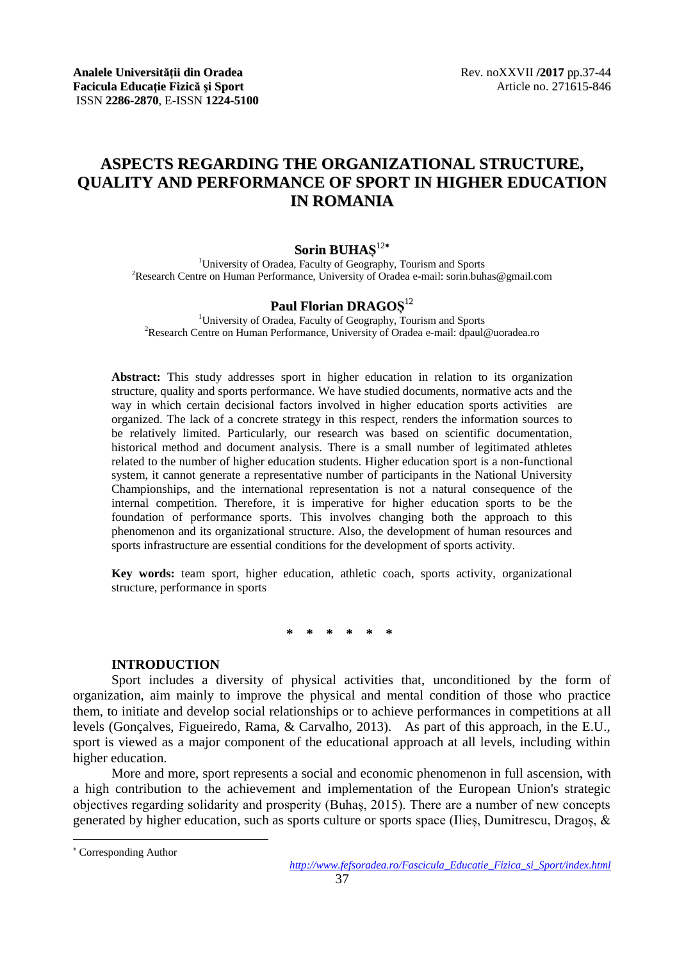# **ASPECTS REGARDING THE ORGANIZATIONAL STRUCTURE, QUALITY AND PERFORMANCE OF SPORT IN HIGHER EDUCATION IN ROMANIA**

# **Sorin BUHAȘ** 12

<sup>1</sup>University of Oradea, Faculty of Geography, Tourism and Sports <sup>2</sup>Research Centre on Human Performance, University of Oradea e-mail: sorin.buhas@gmail.com

# **Paul Florian DRAGOȘ** 12

<sup>1</sup>University of Oradea, Faculty of Geography, Tourism and Sports <sup>2</sup>Research Centre on Human Performance, University of Oradea e-mail: dpaul@uoradea.ro

**Abstract:** This study addresses sport in higher education in relation to its organization structure, quality and sports performance. We have studied documents, normative acts and the way in which certain decisional factors involved in higher education sports activities are organized. The lack of a concrete strategy in this respect, renders the information sources to be relatively limited. Particularly, our research was based on scientific documentation, historical method and document analysis. There is a small number of legitimated athletes related to the number of higher education students. Higher education sport is a non-functional system, it cannot generate a representative number of participants in the National University Championships, and the international representation is not a natural consequence of the internal competition. Therefore, it is imperative for higher education sports to be the foundation of performance sports. This involves changing both the approach to this phenomenon and its organizational structure. Also, the development of human resources and sports infrastructure are essential conditions for the development of sports activity.

**Key words:** team sport, higher education, athletic coach, sports activity, organizational structure, performance in sports

**\* \* \* \* \* \***

## **INTRODUCTION**

Sport includes a diversity of physical activities that, unconditioned by the form of organization, aim mainly to improve the physical and mental condition of those who practice them, to initiate and develop social relationships or to achieve performances in competitions at all levels (Gonçalves, Figueiredo, Rama, & Carvalho, 2013). As part of this approach, in the E.U., sport is viewed as a major component of the educational approach at all levels, including within higher education.

More and more, sport represents a social and economic phenomenon in full ascension, with a high contribution to the achievement and implementation of the European Union's strategic objectives regarding solidarity and prosperity (Buhaş, 2015). There are a number of new concepts generated by higher education, such as sports culture or sports space (Ilieș, Dumitrescu, Dragoș, &

l

Corresponding Author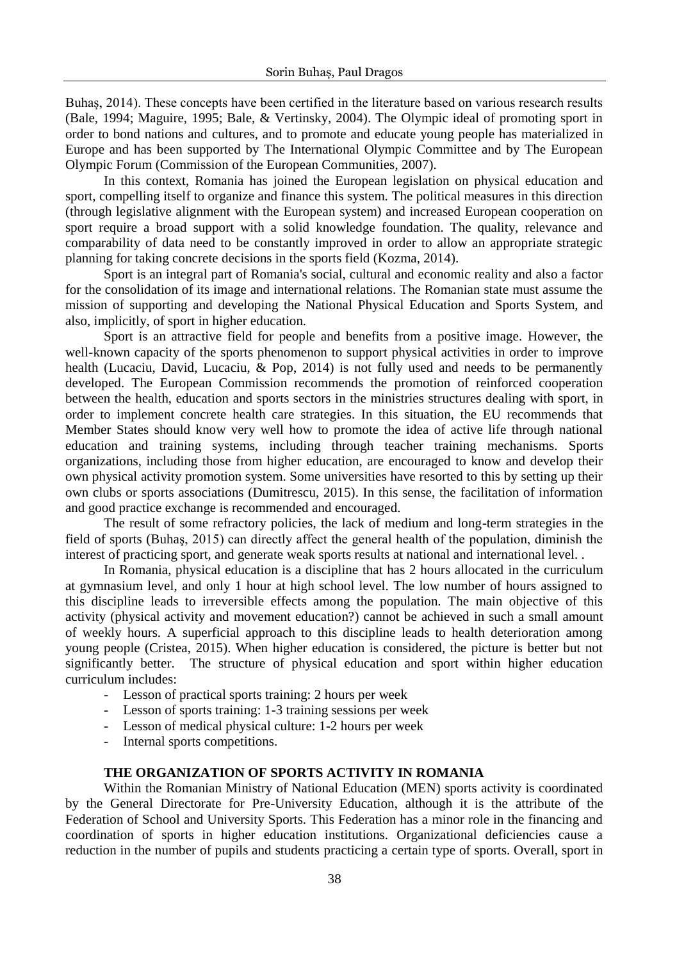Buhaș, 2014). These concepts have been certified in the literature based on various research results (Bale, 1994; Maguire, 1995; Bale, & Vertinsky, 2004). The Olympic ideal of promoting sport in order to bond nations and cultures, and to promote and educate young people has materialized in Europe and has been supported by The International Olympic Committee and by The European Olympic Forum (Commission of the European Communities, 2007).

In this context, Romania has joined the European legislation on physical education and sport, compelling itself to organize and finance this system. The political measures in this direction (through legislative alignment with the European system) and increased European cooperation on sport require a broad support with a solid knowledge foundation. The quality, relevance and comparability of data need to be constantly improved in order to allow an appropriate strategic planning for taking concrete decisions in the sports field (Kozma, 2014).

Sport is an integral part of Romania's social, cultural and economic reality and also a factor for the consolidation of its image and international relations. The Romanian state must assume the mission of supporting and developing the National Physical Education and Sports System, and also, implicitly, of sport in higher education.

Sport is an attractive field for people and benefits from a positive image. However, the well-known capacity of the sports phenomenon to support physical activities in order to improve health (Lucaciu, David, Lucaciu, & Pop, 2014) is not fully used and needs to be permanently developed. The European Commission recommends the promotion of reinforced cooperation between the health, education and sports sectors in the ministries structures dealing with sport, in order to implement concrete health care strategies. In this situation, the EU recommends that Member States should know very well how to promote the idea of active life through national education and training systems, including through teacher training mechanisms. Sports organizations, including those from higher education, are encouraged to know and develop their own physical activity promotion system. Some universities have resorted to this by setting up their own clubs or sports associations (Dumitrescu, 2015). In this sense, the facilitation of information and good practice exchange is recommended and encouraged.

The result of some refractory policies, the lack of medium and long-term strategies in the field of sports (Buhaş, 2015) can directly affect the general health of the population, diminish the interest of practicing sport, and generate weak sports results at national and international level. .

In Romania, physical education is a discipline that has 2 hours allocated in the curriculum at gymnasium level, and only 1 hour at high school level. The low number of hours assigned to this discipline leads to irreversible effects among the population. The main objective of this activity (physical activity and movement education?) cannot be achieved in such a small amount of weekly hours. A superficial approach to this discipline leads to health deterioration among young people (Cristea, 2015). When higher education is considered, the picture is better but not significantly better. The structure of physical education and sport within higher education curriculum includes:

- Lesson of practical sports training: 2 hours per week
- Lesson of sports training: 1-3 training sessions per week
- Lesson of medical physical culture: 1-2 hours per week
- Internal sports competitions.

### **THE ORGANIZATION OF SPORTS ACTIVITY IN ROMANIA**

Within the Romanian Ministry of National Education (MEN) sports activity is coordinated by the General Directorate for Pre-University Education, although it is the attribute of the Federation of School and University Sports. This Federation has a minor role in the financing and coordination of sports in higher education institutions. Organizational deficiencies cause a reduction in the number of pupils and students practicing a certain type of sports. Overall, sport in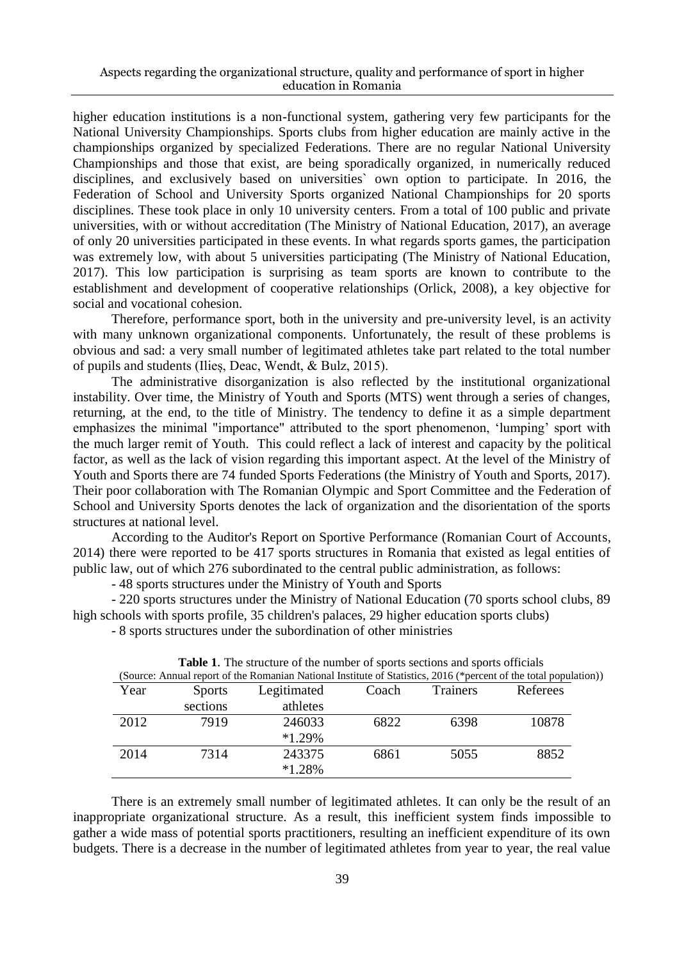higher education institutions is a non-functional system, gathering very few participants for the National University Championships. Sports clubs from higher education are mainly active in the championships organized by specialized Federations. There are no regular National University Championships and those that exist, are being sporadically organized, in numerically reduced disciplines, and exclusively based on universities` own option to participate. In 2016, the Federation of School and University Sports organized National Championships for 20 sports disciplines. These took place in only 10 university centers. From a total of 100 public and private universities, with or without accreditation (The Ministry of National Education, 2017), an average of only 20 universities participated in these events. In what regards sports games, the participation was extremely low, with about 5 universities participating (The Ministry of National Education, 2017). This low participation is surprising as team sports are known to contribute to the establishment and development of cooperative relationships (Orlick, 2008), a key objective for social and vocational cohesion.

Therefore, performance sport, both in the university and pre-university level, is an activity with many unknown organizational components. Unfortunately, the result of these problems is obvious and sad: a very small number of legitimated athletes take part related to the total number of pupils and students (Ilieș, Deac, Wendt, & Bulz, 2015).

The administrative disorganization is also reflected by the institutional organizational instability. Over time, the Ministry of Youth and Sports (MTS) went through a series of changes, returning, at the end, to the title of Ministry. The tendency to define it as a simple department emphasizes the minimal "importance" attributed to the sport phenomenon, "lumping" sport with the much larger remit of Youth. This could reflect a lack of interest and capacity by the political factor, as well as the lack of vision regarding this important aspect. At the level of the Ministry of Youth and Sports there are 74 funded Sports Federations (the Ministry of Youth and Sports, 2017). Their poor collaboration with The Romanian Olympic and Sport Committee and the Federation of School and University Sports denotes the lack of organization and the disorientation of the sports structures at national level.

According to the Auditor's Report on Sportive Performance (Romanian Court of Accounts, 2014) there were reported to be 417 sports structures in Romania that existed as legal entities of public law, out of which 276 subordinated to the central public administration, as follows:

- 48 sports structures under the Ministry of Youth and Sports

- 220 sports structures under the Ministry of National Education (70 sports school clubs, 89 high schools with sports profile, 35 children's palaces, 29 higher education sports clubs)

- 8 sports structures under the subordination of other ministries

|      |               | <b>Table 1.</b> The subclure of the number of sports sections and sports officials |       |                             |                                                                                                                   |
|------|---------------|------------------------------------------------------------------------------------|-------|-----------------------------|-------------------------------------------------------------------------------------------------------------------|
|      |               |                                                                                    |       |                             | (Source: Annual report of the Romanian National Institute of Statistics, 2016 (*percent of the total population)) |
| Year | <b>Sports</b> | Legitimated                                                                        | Coach | Referees<br><b>Trainers</b> |                                                                                                                   |
|      | sections      | athletes                                                                           |       |                             |                                                                                                                   |
| 2012 | 7919          | 246033                                                                             | 6822  | 6398                        | 10878                                                                                                             |
|      |               | $*1.29%$                                                                           |       |                             |                                                                                                                   |
| 2014 | 7314          | 243375                                                                             | 6861  | 5055                        | 8852                                                                                                              |
|      |               | $*1.28%$                                                                           |       |                             |                                                                                                                   |

|  | Table 1. The structure of the number of sports sections and sports officials |  |  |  |  |  |
|--|------------------------------------------------------------------------------|--|--|--|--|--|
|--|------------------------------------------------------------------------------|--|--|--|--|--|

There is an extremely small number of legitimated athletes. It can only be the result of an inappropriate organizational structure. As a result, this inefficient system finds impossible to gather a wide mass of potential sports practitioners, resulting an inefficient expenditure of its own budgets. There is a decrease in the number of legitimated athletes from year to year, the real value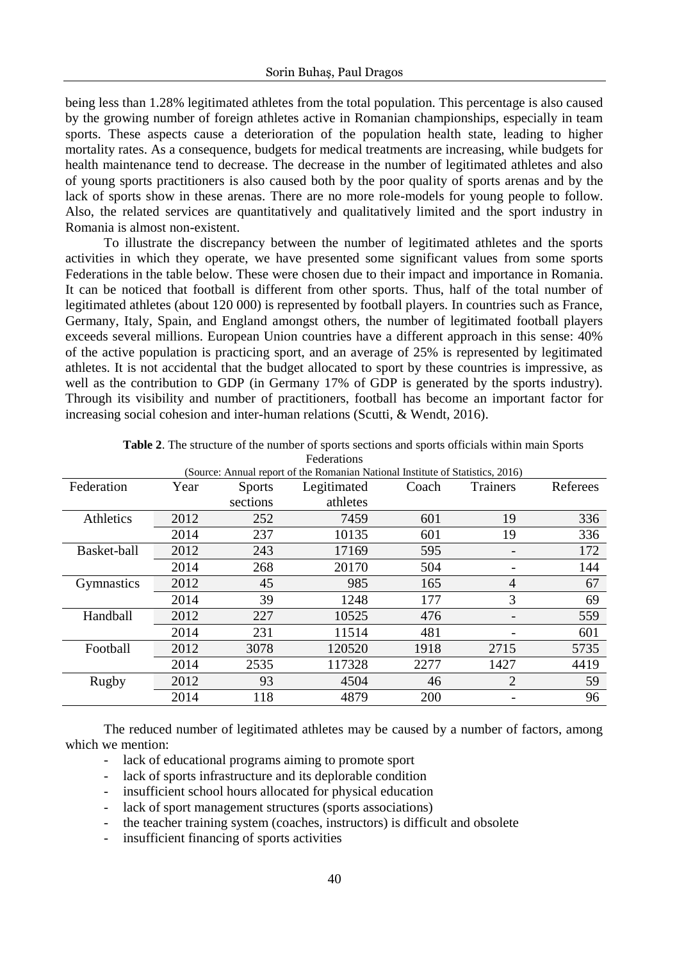being less than 1.28% legitimated athletes from the total population. This percentage is also caused by the growing number of foreign athletes active in Romanian championships, especially in team sports. These aspects cause a deterioration of the population health state, leading to higher mortality rates. As a consequence, budgets for medical treatments are increasing, while budgets for health maintenance tend to decrease. The decrease in the number of legitimated athletes and also of young sports practitioners is also caused both by the poor quality of sports arenas and by the lack of sports show in these arenas. There are no more role-models for young people to follow. Also, the related services are quantitatively and qualitatively limited and the sport industry in Romania is almost non-existent.

To illustrate the discrepancy between the number of legitimated athletes and the sports activities in which they operate, we have presented some significant values from some sports Federations in the table below. These were chosen due to their impact and importance in Romania. It can be noticed that football is different from other sports. Thus, half of the total number of legitimated athletes (about 120 000) is represented by football players. In countries such as France, Germany, Italy, Spain, and England amongst others, the number of legitimated football players exceeds several millions. European Union countries have a different approach in this sense: 40% of the active population is practicing sport, and an average of 25% is represented by legitimated athletes. It is not accidental that the budget allocated to sport by these countries is impressive, as well as the contribution to GDP (in Germany 17% of GDP is generated by the sports industry). Through its visibility and number of practitioners, football has become an important factor for increasing social cohesion and inter-human relations (Scutti, & Wendt, 2016).

|             | (Source: Annual report of the Romanian National Institute of Statistics, 2016) |               |             |            |          |          |
|-------------|--------------------------------------------------------------------------------|---------------|-------------|------------|----------|----------|
| Federation  | Year                                                                           | <b>Sports</b> | Legitimated | Coach      | Trainers | Referees |
|             |                                                                                | sections      | athletes    |            |          |          |
| Athletics   | 2012                                                                           | 252           | 7459        | 601        | 19       | 336      |
|             | 2014                                                                           | 237           | 10135       | 601        | 19       | 336      |
| Basket-ball | 2012                                                                           | 243           | 17169       | 595        |          | 172      |
|             | 2014                                                                           | 268           | 20170       | 504        |          | 144      |
| Gymnastics  | 2012                                                                           | 45            | 985         | 165        | 4        | 67       |
|             | 2014                                                                           | 39            | 1248        | 177        | 3        | 69       |
| Handball    | 2012                                                                           | 227           | 10525       | 476        |          | 559      |
|             | 2014                                                                           | 231           | 11514       | 481        |          | 601      |
| Football    | 2012                                                                           | 3078          | 120520      | 1918       | 2715     | 5735     |
|             | 2014                                                                           | 2535          | 117328      | 2277       | 1427     | 4419     |
| Rugby       | 2012                                                                           | 93            | 4504        | 46         | 2        | 59       |
|             | 2014                                                                           | 118           | 4879        | <b>200</b> |          | 96       |

| <b>Table 2.</b> The structure of the number of sports sections and sports officials within main Sports |
|--------------------------------------------------------------------------------------------------------|
| Federations                                                                                            |

The reduced number of legitimated athletes may be caused by a number of factors, among which we mention:

- lack of educational programs aiming to promote sport
- lack of sports infrastructure and its deplorable condition
- insufficient school hours allocated for physical education
- lack of sport management structures (sports associations)
- the teacher training system (coaches, instructors) is difficult and obsolete
- insufficient financing of sports activities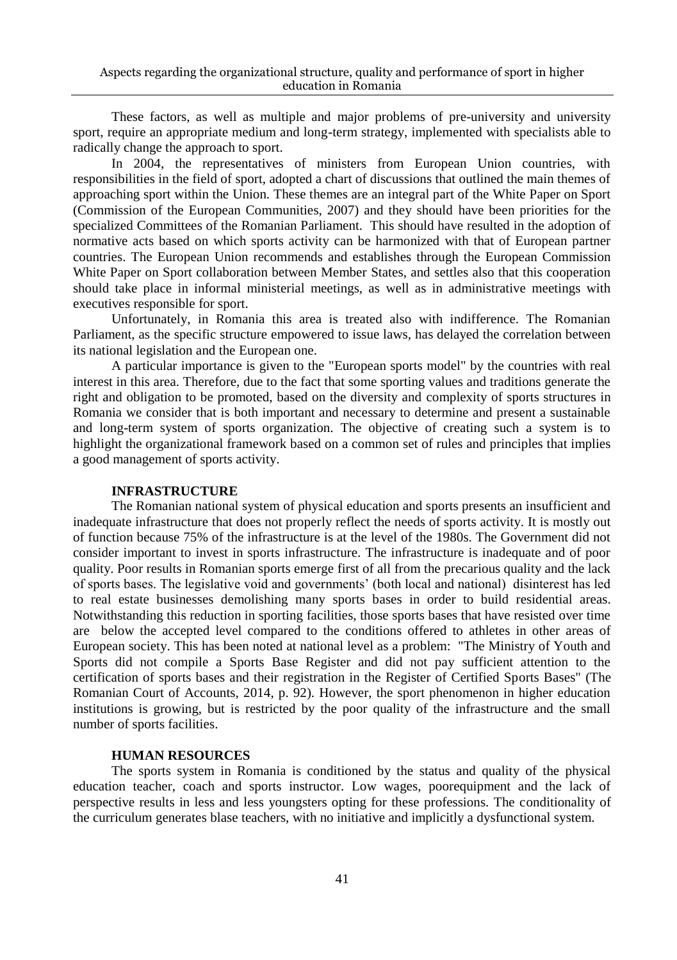These factors, as well as multiple and major problems of pre-university and university sport, require an appropriate medium and long-term strategy, implemented with specialists able to radically change the approach to sport.

In 2004, the representatives of ministers from European Union countries, with responsibilities in the field of sport, adopted a chart of discussions that outlined the main themes of approaching sport within the Union. These themes are an integral part of the White Paper on Sport (Commission of the European Communities, 2007) and they should have been priorities for the specialized Committees of the Romanian Parliament. This should have resulted in the adoption of normative acts based on which sports activity can be harmonized with that of European partner countries. The European Union recommends and establishes through the European Commission White Paper on Sport collaboration between Member States, and settles also that this cooperation should take place in informal ministerial meetings, as well as in administrative meetings with executives responsible for sport.

Unfortunately, in Romania this area is treated also with indifference. The Romanian Parliament, as the specific structure empowered to issue laws, has delayed the correlation between its national legislation and the European one.

A particular importance is given to the "European sports model" by the countries with real interest in this area. Therefore, due to the fact that some sporting values and traditions generate the right and obligation to be promoted, based on the diversity and complexity of sports structures in Romania we consider that is both important and necessary to determine and present a sustainable and long-term system of sports organization. The objective of creating such a system is to highlight the organizational framework based on a common set of rules and principles that implies a good management of sports activity.

#### **INFRASTRUCTURE**

The Romanian national system of physical education and sports presents an insufficient and inadequate infrastructure that does not properly reflect the needs of sports activity. It is mostly out of function because 75% of the infrastructure is at the level of the 1980s. The Government did not consider important to invest in sports infrastructure. The infrastructure is inadequate and of poor quality. Poor results in Romanian sports emerge first of all from the precarious quality and the lack of sports bases. The legislative void and governments" (both local and national) disinterest has led to real estate businesses demolishing many sports bases in order to build residential areas. Notwithstanding this reduction in sporting facilities, those sports bases that have resisted over time are below the accepted level compared to the conditions offered to athletes in other areas of European society. This has been noted at national level as a problem: "The Ministry of Youth and Sports did not compile a Sports Base Register and did not pay sufficient attention to the certification of sports bases and their registration in the Register of Certified Sports Bases" (The Romanian Court of Accounts, 2014, p. 92). However, the sport phenomenon in higher education institutions is growing, but is restricted by the poor quality of the infrastructure and the small number of sports facilities.

#### **HUMAN RESOURCES**

The sports system in Romania is conditioned by the status and quality of the physical education teacher, coach and sports instructor. Low wages, poorequipment and the lack of perspective results in less and less youngsters opting for these professions. The conditionality of the curriculum generates blase teachers, with no initiative and implicitly a dysfunctional system.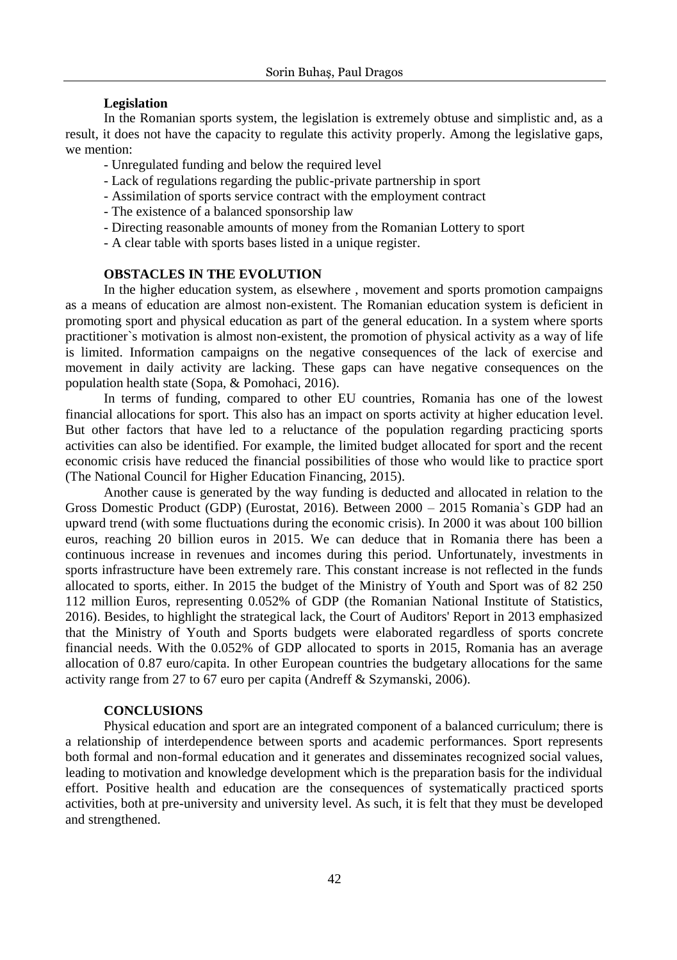#### **Legislation**

In the Romanian sports system, the legislation is extremely obtuse and simplistic and, as a result, it does not have the capacity to regulate this activity properly. Among the legislative gaps, we mention:

- Unregulated funding and below the required level
- Lack of regulations regarding the public-private partnership in sport
- Assimilation of sports service contract with the employment contract
- The existence of a balanced sponsorship law
- Directing reasonable amounts of money from the Romanian Lottery to sport
- A clear table with sports bases listed in a unique register.

# **OBSTACLES IN THE EVOLUTION**

In the higher education system, as elsewhere , movement and sports promotion campaigns as a means of education are almost non-existent. The Romanian education system is deficient in promoting sport and physical education as part of the general education. In a system where sports practitioner`s motivation is almost non-existent, the promotion of physical activity as a way of life is limited. Information campaigns on the negative consequences of the lack of exercise and movement in daily activity are lacking. These gaps can have negative consequences on the population health state (Sopa, & Pomohaci, 2016).

In terms of funding, compared to other EU countries, Romania has one of the lowest financial allocations for sport. This also has an impact on sports activity at higher education level. But other factors that have led to a reluctance of the population regarding practicing sports activities can also be identified. For example, the limited budget allocated for sport and the recent economic crisis have reduced the financial possibilities of those who would like to practice sport (The National Council for Higher Education Financing, 2015).

Another cause is generated by the way funding is deducted and allocated in relation to the Gross Domestic Product (GDP) (Eurostat, 2016). Between 2000 – 2015 Romania`s GDP had an upward trend (with some fluctuations during the economic crisis). In 2000 it was about 100 billion euros, reaching 20 billion euros in 2015. We can deduce that in Romania there has been a continuous increase in revenues and incomes during this period. Unfortunately, investments in sports infrastructure have been extremely rare. This constant increase is not reflected in the funds allocated to sports, either. In 2015 the budget of the Ministry of Youth and Sport was of 82 250 112 million Euros, representing 0.052% of GDP (the Romanian National Institute of Statistics, 2016). Besides, to highlight the strategical lack, the Court of Auditors' Report in 2013 emphasized that the Ministry of Youth and Sports budgets were elaborated regardless of sports concrete financial needs. With the 0.052% of GDP allocated to sports in 2015, Romania has an average allocation of 0.87 euro/capita. In other European countries the budgetary allocations for the same activity range from 27 to 67 euro per capita (Andreff & Szymanski, 2006).

### **CONCLUSIONS**

Physical education and sport are an integrated component of a balanced curriculum; there is a relationship of interdependence between sports and academic performances. Sport represents both formal and non-formal education and it generates and disseminates recognized social values, leading to motivation and knowledge development which is the preparation basis for the individual effort. Positive health and education are the consequences of systematically practiced sports activities, both at pre-university and university level. As such, it is felt that they must be developed and strengthened.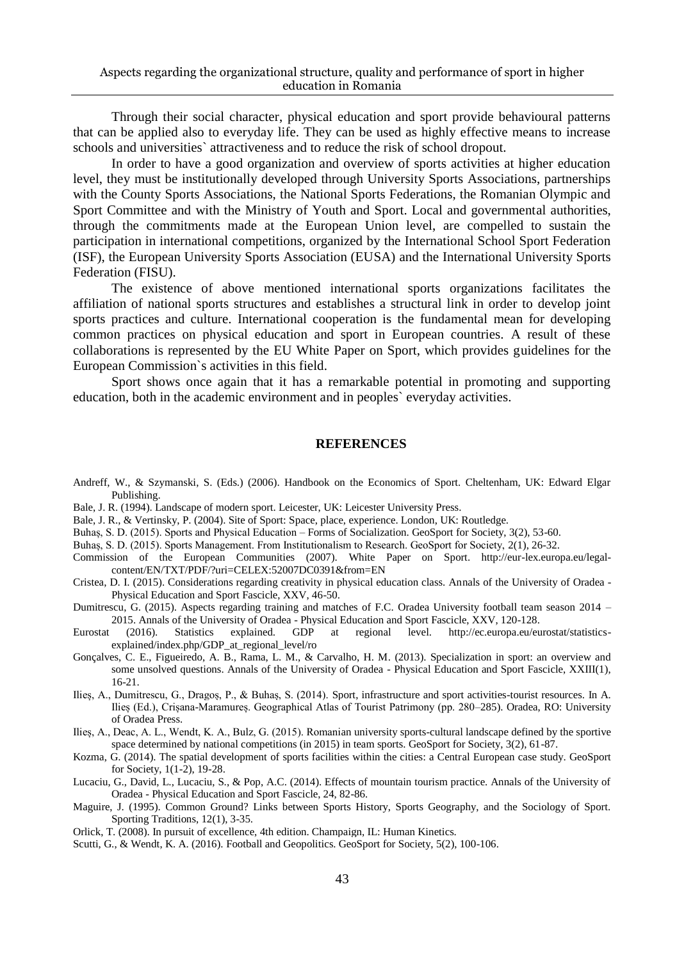Through their social character, physical education and sport provide behavioural patterns that can be applied also to everyday life. They can be used as highly effective means to increase schools and universities` attractiveness and to reduce the risk of school dropout.

In order to have a good organization and overview of sports activities at higher education level, they must be institutionally developed through University Sports Associations, partnerships with the County Sports Associations, the National Sports Federations, the Romanian Olympic and Sport Committee and with the Ministry of Youth and Sport. Local and governmental authorities, through the commitments made at the European Union level, are compelled to sustain the participation in international competitions, organized by the International School Sport Federation (ISF), the European University Sports Association (EUSA) and the International University Sports Federation (FISU).

The existence of above mentioned international sports organizations facilitates the affiliation of national sports structures and establishes a structural link in order to develop joint sports practices and culture. International cooperation is the fundamental mean for developing common practices on physical education and sport in European countries. A result of these collaborations is represented by the EU White Paper on Sport, which provides guidelines for the European Commission`s activities in this field.

Sport shows once again that it has a remarkable potential in promoting and supporting education, both in the academic environment and in peoples` everyday activities.

#### **REFERENCES**

- Andreff, W., & Szymanski, S. (Eds.) (2006). Handbook on the Economics of Sport. Cheltenham, UK: Edward Elgar Publishing.
- Bale, J. R. (1994). Landscape of modern sport. Leicester, UK: Leicester University Press.
- Bale, J. R., & Vertinsky, P. (2004). Site of Sport: Space, place, experience. London, UK: Routledge.
- Buhaș, S. D. (2015). Sports and Physical Education Forms of Socialization. GeoSport for Society, 3(2), 53-60.

Buhaș, S. D. (2015). Sports Management. From Institutionalism to Research. GeoSport for Society, 2(1), 26-32.

- Commission of the European Communities (2007). White Paper on Sport. http://eur-lex.europa.eu/legalcontent/EN/TXT/PDF/?uri=CELEX:52007DC0391&from=EN
- Cristea, D. I. (2015). Considerations regarding creativity in physical education class. Annals of the University of Oradea Physical Education and Sport Fascicle, XXV, 46-50.
- Dumitrescu, G. (2015). Aspects regarding training and matches of F.C. Oradea University football team season 2014 2015. Annals of the University of Oradea - Physical Education and Sport Fascicle, XXV, 120-128.
- Eurostat (2016). Statistics explained. GDP at regional level. http://ec.europa.eu/eurostat/statisticsexplained/index.php/GDP\_at\_regional\_level/ro
- Gonçalves, C. E., Figueiredo, A. B., Rama, L. M., & Carvalho, H. M. (2013). Specialization in sport: an overview and some unsolved questions. Annals of the University of Oradea - Physical Education and Sport Fascicle, XXIII(1), 16-21.
- Ilieș, A., Dumitrescu, G., Dragoș, P., & Buhaș, S. (2014). Sport, infrastructure and sport activities-tourist resources. In A. Ilieș (Ed.), Crișana-Maramureș. Geographical Atlas of Tourist Patrimony (pp. 280–285). Oradea, RO: University of Oradea Press.
- Ilieș, A., Deac, A. L., Wendt, K. A., Bulz, G. (2015). Romanian university sports-cultural landscape defined by the sportive space determined by national competitions (in 2015) in team sports. GeoSport for Society, 3(2), 61-87.
- Kozma, G. (2014). The spatial development of sports facilities within the cities: a Central European case study. GeoSport for Society, 1(1-2), 19-28.
- Lucaciu, G., David, L., Lucaciu, S., & Pop, A.C. (2014). Effects of mountain tourism practice. Annals of the University of Oradea - Physical Education and Sport Fascicle, 24, 82-86.
- Maguire, J. (1995). Common Ground? Links between Sports History, Sports Geography, and the Sociology of Sport. Sporting Traditions, 12(1), 3-35.
- Orlick, T. (2008). In pursuit of excellence, 4th edition. Champaign, IL: Human Kinetics.
- Scutti, G., & Wendt, K. A. (2016). Football and Geopolitics. GeoSport for Society, 5(2), 100-106.